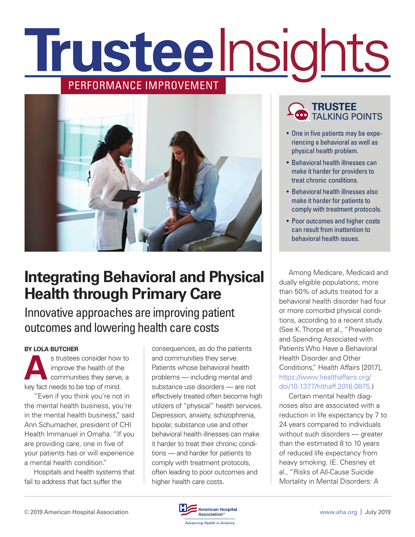# **Trusteelnsights** PERFORMANCE IMPROVEMENT



### **Integrating Behavioral and Physical Health through Primary Care**

### Innovative approaches are improving patient outcomes and lowering health care costs

#### **BY LOLA BUTCHER**

s trustees consider how to<br>
improve the health of the<br>
communities they serve, a<br>
leave for pools to be top of mind improve the health of the communities they serve, a key fact needs to be top of mind.

"Even if you think you're not in the mental health business, you're in the mental health business," said Ann Schumacher, president of CHI Health Immanuel in Omaha. "If you are providing care, one in five of your patients has or will experience a mental health condition."

Hospitals and health systems that fail to address that fact suffer the

consequences, as do the patients and communities they serve. Patients whose behavioral health problems — including mental and substance use disorders — are not effectively treated often become high utilizers of "physical" health services. Depression, anxiety, schizophrenia, bipolar, substance use and other behavioral health illnesses can make it harder to treat their chronic conditions — and harder for patients to comply with treatment protocols, often leading to poor outcomes and higher health care costs.

### **TRUSTEE** TALKING POINTS

- One in five patients may be experiencing a behavioral as well as physical health problem.
- Behavioral health illnesses can make it harder for providers to treat chronic conditions.
- Behavioral health illnesses also make it harder for patients to comply with treatment protocols.
- Poor outcomes and higher costs can result from inattention to behavioral health issues.

Among Medicare, Medicaid and dually eligible populations, more than 50% of adults treated for a behavioral health disorder had four or more comorbid physical conditions, according to a recent study. (See K. Thorpe et al., "Prevalence and Spending Associated with Patients Who Have a Behavioral Health Disorder and Other Conditions," Health Affairs [2017], [https://www.healthaffairs.org/](https://www.healthaffairs.org/doi/10.1377/hlthaff.2016.0875) [doi/10.1377/hlthaff.2016.0875.](https://www.healthaffairs.org/doi/10.1377/hlthaff.2016.0875))

Certain mental health diagnoses also are associated with a reduction in life expectancy by 7 to 24 years compared to individuals without such disorders — greater than the estimated 8 to 10 years of reduced life expectancy from heavy smoking. (E. Chesney et al., "Risks of All-Cause Suicide Mortality in Mental Disorders: A

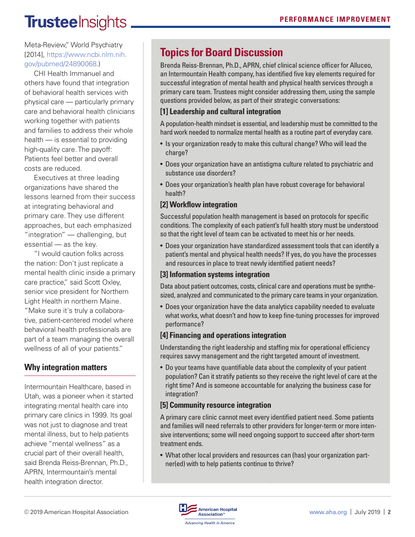# **TrusteeInsights**

Meta-Review," World Psychiatry [2014], [https://www.ncbi.nlm.nih.](https://www.ncbi.nlm.nih.gov/pubmed/24890068) [gov/pubmed/24890068](https://www.ncbi.nlm.nih.gov/pubmed/24890068).)

CHI Health Immanuel and others have found that integration of behavioral health services with physical care — particularly primary care and behavioral health clinicians working together with patients and families to address their whole health — is essential to providing high-quality care. The payoff: Patients feel better and overall costs are reduced.

Executives at three leading organizations have shared the lessons learned from their success at integrating behavioral and primary care. They use different approaches, but each emphasized "integration" — challenging, but essential — as the key.

"I would caution folks across the nation: Don't just replicate a mental health clinic inside a primary care practice," said Scott Oxley, senior vice president for Northern Light Health in northern Maine. "Make sure it's truly a collaborative, patient-centered model where behavioral health professionals are part of a team managing the overall wellness of all of your patients."

#### **Why integration matters**

Intermountain Healthcare, based in Utah, was a pioneer when it started integrating mental health care into primary care clinics in 1999. Its goal was not just to diagnose and treat mental illness, but to help patients achieve "mental wellness" as a crucial part of their overall health, said Brenda Reiss-Brennan, Ph.D., APRN, Intermountain's mental health integration director.

### **Topics for Board Discussion**

Brenda Reiss-Brennan, Ph.D., APRN, chief clinical science officer for Alluceo, an Intermountain Health company, has identified five key elements required for successful integration of mental health and physical health services through a primary care team. Trustees might consider addressing them, using the sample questions provided below, as part of their strategic conversations:

#### **[1] Leadership and cultural integration**

A population-health mindset is essential, and leadership must be committed to the hard work needed to normalize mental health as a routine part of everyday care.

- Is your organization ready to make this cultural change? Who will lead the charge?
- Does your organization have an antistigma culture related to psychiatric and substance use disorders?
- Does your organization's health plan have robust coverage for behavioral health?

#### **[2] Workflow integration**

Successful population health management is based on protocols for specific conditions. The complexity of each patient's full health story must be understood so that the right level of team can be activated to meet his or her needs.

• Does your organization have standardized assessment tools that can identify a patient's mental and physical health needs? If yes, do you have the processes and resources in place to treat newly identified patient needs?

#### **[3] Information systems integration**

Data about patient outcomes, costs, clinical care and operations must be synthesized, analyzed and communicated to the primary care teams in your organization.

• Does your organization have the data analytics capability needed to evaluate what works, what doesn't and how to keep fine-tuning processes for improved performance?

#### **[4] Financing and operations integration**

Understanding the right leadership and staffing mix for operational efficiency requires savvy management and the right targeted amount of investment.

• Do your teams have quantifiable data about the complexity of your patient population? Can it stratify patients so they receive the right level of care at the right time? And is someone accountable for analyzing the business case for integration?

#### **[5] Community resource integration**

A primary care clinic cannot meet every identified patient need. Some patients and families will need referrals to other providers for longer-term or more intensive interventions; some will need ongoing support to succeed after short-term treatment ends.

• What other local providers and resources can (has) your organization partner(ed) with to help patients continue to thrive?

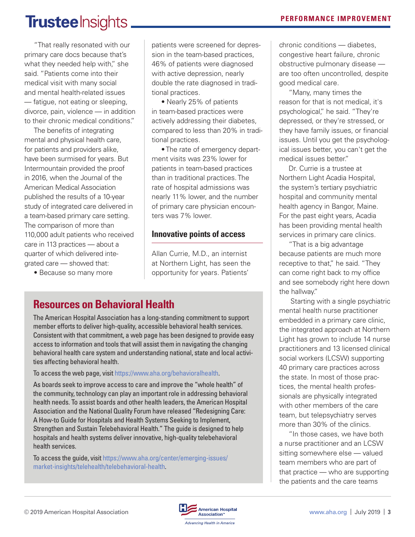## **TrusteeInsights**

"That really resonated with our primary care docs because that's what they needed help with," she said. "Patients come into their medical visit with many social and mental health-related issues — fatigue, not eating or sleeping, divorce, pain, violence — in addition to their chronic medical conditions."

The benefits of integrating mental and physical health care, for patients and providers alike, have been surmised for years. But Intermountain provided the proof in 2016, when the Journal of the American Medical Association published the results of a 10-year study of integrated care delivered in a team-based primary care setting. The comparison of more than 110,000 adult patients who received care in 113 practices — about a quarter of which delivered integrated care — showed that:

• Because so many more

patients were screened for depression in the team-based practices, 46% of patients were diagnosed with active depression, nearly double the rate diagnosed in traditional practices.

• Nearly 25% of patients in team-based practices were actively addressing their diabetes, compared to less than 20% in traditional practices.

• The rate of emergency department visits was 23% lower for patients in team-based practices than in traditional practices. The rate of hospital admissions was nearly 11% lower, and the number of primary care physician encounters was 7% lower.

#### **Innovative points of access**

Allan Currie, M.D., an internist at Northern Light, has seen the opportunity for years. Patients'

### **Resources on Behavioral Health**

The American Hospital Association has a long-standing commitment to support member efforts to deliver high-quality, accessible behavioral health services. Consistent with that commitment, a web page has been designed to provide easy access to information and tools that will assist them in navigating the changing behavioral health care system and understanding national, state and local activities affecting behavioral health.

To access the web page, visit<https://www.aha.org/behavioralhealth>.

As boards seek to improve access to care and improve the "whole health" of the community, technology can play an important role in addressing behavioral health needs. To assist boards and other health leaders, the American Hospital Association and the National Quality Forum have released "Redesigning Care: A How-to Guide for Hospitals and Health Systems Seeking to Implement, Strengthen and Sustain Telebehavioral Health." The guide is designed to help hospitals and health systems deliver innovative, high-quality telebehavioral health services.

To access the guide, visit [https://www.aha.org/center/emerging-issues/](https://www.aha.org/center/emerging-issues/market-insights/telehealth/telebehavioral-health) [market-insights/telehealth/telebehavioral-health.](https://www.aha.org/center/emerging-issues/market-insights/telehealth/telebehavioral-health)

chronic conditions — diabetes, congestive heart failure, chronic obstructive pulmonary disease are too often uncontrolled, despite good medical care.

"Many, many times the reason for that is not medical, it's psychological," he said. "They're depressed, or they're stressed, or they have family issues, or financial issues. Until you get the psychological issues better, you can't get the medical issues better."

Dr. Currie is a trustee at Northern Light Acadia Hospital, the system's tertiary psychiatric hospital and community mental health agency in Bangor, Maine. For the past eight years, Acadia has been providing mental health services in primary care clinics.

"That is a big advantage because patients are much more receptive to that," he said. "They can come right back to my office and see somebody right here down the hallway."

 Starting with a single psychiatric mental health nurse practitioner embedded in a primary care clinic, the integrated approach at Northern Light has grown to include 14 nurse practitioners and 13 licensed clinical social workers (LCSW) supporting 40 primary care practices across the state. In most of those practices, the mental health professionals are physically integrated with other members of the care team, but telepsychiatry serves more than 30% of the clinics.

"In those cases, we have both a nurse practitioner and an LCSW sitting somewhere else — valued team members who are part of that practice — who are supporting the patients and the care teams

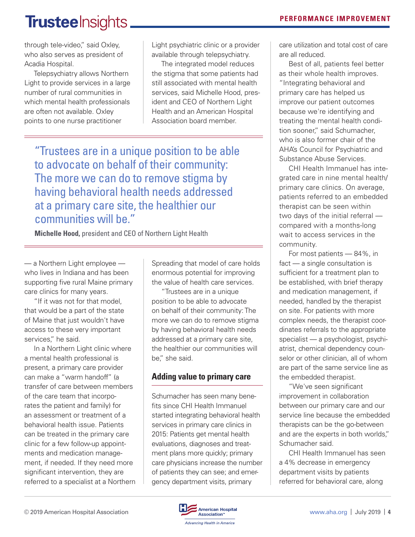# **Trustee** Insights.

through tele-video," said Oxley, who also serves as president of Acadia Hospital.

Telepsychiatry allows Northern Light to provide services in a large number of rural communities in which mental health professionals are often not available. Oxley points to one nurse practitioner

Light psychiatric clinic or a provider available through telepsychiatry.

The integrated model reduces the stigma that some patients had still associated with mental health services, said Michelle Hood, president and CEO of Northern Light Health and an American Hospital Association board member.

"Trustees are in a unique position to be able to advocate on behalf of their community: The more we can do to remove stigma by having behavioral health needs addressed at a primary care site, the healthier our communities will be."

**Michelle Hood,** president and CEO of Northern Light Health

— a Northern Light employee who lives in Indiana and has been supporting five rural Maine primary care clinics for many years.

"If it was not for that model, that would be a part of the state of Maine that just wouldn't have access to these very important services," he said.

In a Northern Light clinic where a mental health professional is present, a primary care provider can make a "warm handoff" (a transfer of care between members of the care team that incorporates the patient and family) for an assessment or treatment of a behavioral health issue. Patients can be treated in the primary care clinic for a few follow-up appointments and medication management, if needed. If they need more significant intervention, they are referred to a specialist at a Northern

Spreading that model of care holds enormous potential for improving the value of health care services.

"Trustees are in a unique position to be able to advocate on behalf of their community: The more we can do to remove stigma by having behavioral health needs addressed at a primary care site, the healthier our communities will be," she said.

#### **Adding value to primary care**

Schumacher has seen many benefits since CHI Health Immanuel started integrating behavioral health services in primary care clinics in 2015: Patients get mental health evaluations, diagnoses and treatment plans more quickly; primary care physicians increase the number of patients they can see; and emergency department visits, primary

care utilization and total cost of care are all reduced.

Best of all, patients feel better as their whole health improves. "Integrating behavioral and primary care has helped us improve our patient outcomes because we're identifying and treating the mental health condition sooner," said Schumacher, who is also former chair of the AHA's Council for Psychiatric and Substance Abuse Services.

CHI Health Immanuel has integrated care in nine mental health/ primary care clinics. On average, patients referred to an embedded therapist can be seen within two days of the initial referral compared with a months-long wait to access services in the community.

For most patients — 84%, in fact — a single consultation is sufficient for a treatment plan to be established, with brief therapy and medication management, if needed, handled by the therapist on site. For patients with more complex needs, the therapist coordinates referrals to the appropriate specialist — a psychologist, psychiatrist, chemical dependency counselor or other clinician, all of whom are part of the same service line as the embedded therapist.

"We've seen significant improvement in collaboration between our primary care and our service line because the embedded therapists can be the go-between and are the experts in both worlds," Schumacher said.

CHI Health Immanuel has seen a 4% decrease in emergency department visits by patients referred for behavioral care, along